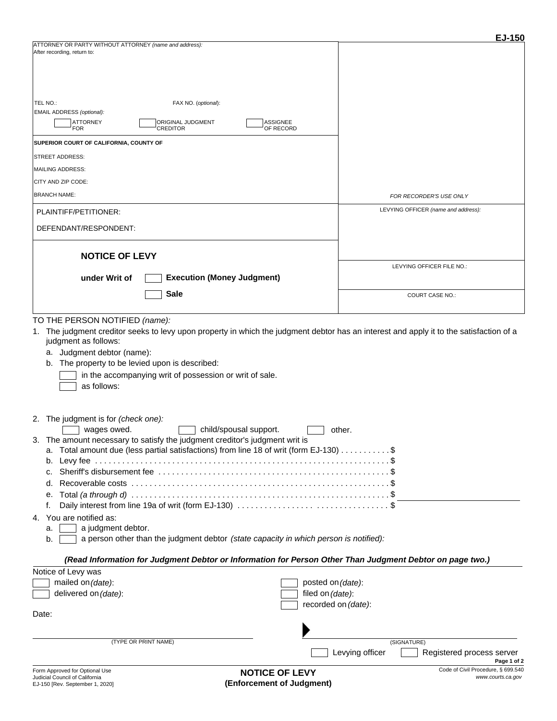|                                                                                                                                                                                                                                                                                                                                                                                                                                           | EJ-150                              |
|-------------------------------------------------------------------------------------------------------------------------------------------------------------------------------------------------------------------------------------------------------------------------------------------------------------------------------------------------------------------------------------------------------------------------------------------|-------------------------------------|
| ATTORNEY OR PARTY WITHOUT ATTORNEY (name and address):<br>After recording, return to:                                                                                                                                                                                                                                                                                                                                                     |                                     |
| TEL NO.:<br>FAX NO. (optional):                                                                                                                                                                                                                                                                                                                                                                                                           |                                     |
| EMAIL ADDRESS (optional):<br><b>ATTORNEY</b><br>ORIGINAL JUDGMENT<br><b>ASSIGNEE</b><br><b>CREDITOR</b><br>OF RECORD<br><b>FOR</b>                                                                                                                                                                                                                                                                                                        |                                     |
| SUPERIOR COURT OF CALIFORNIA, COUNTY OF                                                                                                                                                                                                                                                                                                                                                                                                   |                                     |
| <b>STREET ADDRESS:</b>                                                                                                                                                                                                                                                                                                                                                                                                                    |                                     |
| <b>MAILING ADDRESS:</b>                                                                                                                                                                                                                                                                                                                                                                                                                   |                                     |
| CITY AND ZIP CODE:                                                                                                                                                                                                                                                                                                                                                                                                                        |                                     |
| <b>BRANCH NAME:</b>                                                                                                                                                                                                                                                                                                                                                                                                                       | FOR RECORDER'S USE ONLY             |
| PLAINTIFF/PETITIONER:                                                                                                                                                                                                                                                                                                                                                                                                                     | LEVYING OFFICER (name and address): |
| DEFENDANT/RESPONDENT:                                                                                                                                                                                                                                                                                                                                                                                                                     |                                     |
| <b>NOTICE OF LEVY</b>                                                                                                                                                                                                                                                                                                                                                                                                                     |                                     |
|                                                                                                                                                                                                                                                                                                                                                                                                                                           | LEVYING OFFICER FILE NO.:           |
| <b>Execution (Money Judgment)</b><br>under Writ of                                                                                                                                                                                                                                                                                                                                                                                        |                                     |
| <b>Sale</b>                                                                                                                                                                                                                                                                                                                                                                                                                               | <b>COURT CASE NO.:</b>              |
| a. Judgment debtor (name):<br>The property to be levied upon is described:<br>b.<br>in the accompanying writ of possession or writ of sale.<br>as follows:                                                                                                                                                                                                                                                                                |                                     |
| 2. The judgment is for (check one):<br>child/spousal support.<br>wages owed.<br>3. The amount necessary to satisfy the judgment creditor's judgment writ is<br>a. Total amount due (less partial satisfactions) from line 18 of writ (form EJ-130) \$<br>b.<br>c.<br>d.<br>е.<br>f.<br>4. You are notified as:<br>a judgment debtor.<br>a.<br>a person other than the judgment debtor (state capacity in which person is notified):<br>b. | other.                              |
| (Read Information for Judgment Debtor or Information for Person Other Than Judgment Debtor on page two.)                                                                                                                                                                                                                                                                                                                                  |                                     |
| Notice of Levy was<br>mailed on (date):                                                                                                                                                                                                                                                                                                                                                                                                   | posted on (date):                   |
| delivered on (date):                                                                                                                                                                                                                                                                                                                                                                                                                      | filed on (date):                    |
| Date:                                                                                                                                                                                                                                                                                                                                                                                                                                     | recorded on (date):                 |
|                                                                                                                                                                                                                                                                                                                                                                                                                                           |                                     |
| (TYPE OR PRINT NAME)                                                                                                                                                                                                                                                                                                                                                                                                                      | (SIGNATURE)                         |

Levying officer **Registered process server**